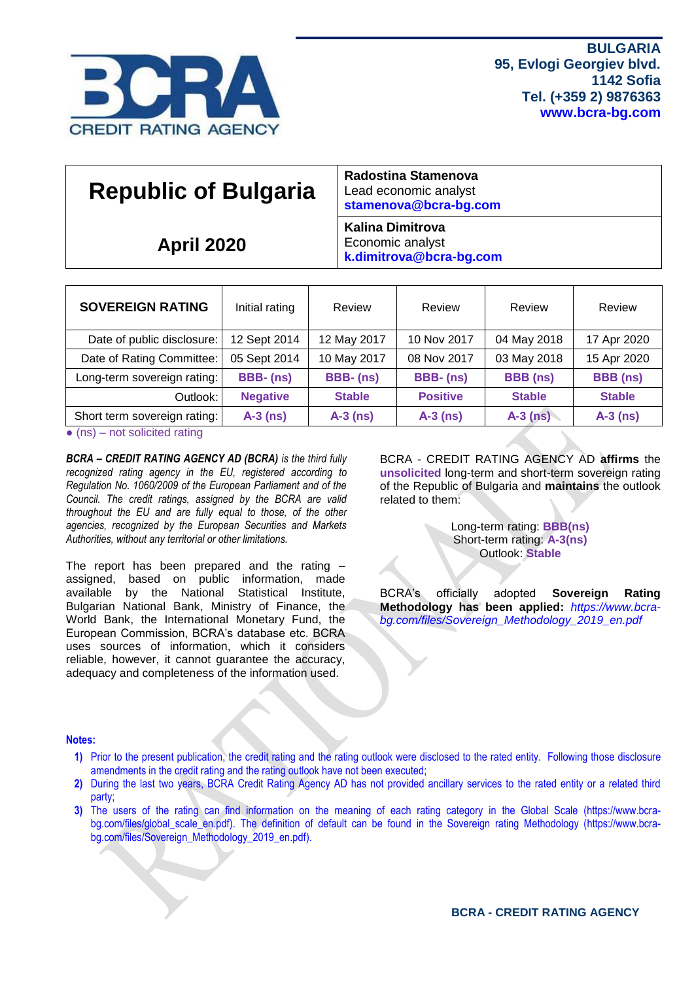

| <b>Republic of Bulgaria</b> | Lead economic analyst<br>stamenova@bcra-bg.com                         |
|-----------------------------|------------------------------------------------------------------------|
| <b>April 2020</b>           | <b>Kalina Dimitrova</b><br>Economic analyst<br>k.dimitrova@bcra-bg.com |

| <b>SOVEREIGN RATING</b>                                                                                                                         | Initial rating  | Review        | Review          | Review          | Review          |
|-------------------------------------------------------------------------------------------------------------------------------------------------|-----------------|---------------|-----------------|-----------------|-----------------|
| Date of public disclosure:                                                                                                                      | 12 Sept 2014    | 12 May 2017   | 10 Nov 2017     | 04 May 2018     | 17 Apr 2020     |
| Date of Rating Committee:                                                                                                                       | 05 Sept 2014    | 10 May 2017   | 08 Nov 2017     | 03 May 2018     | 15 Apr 2020     |
| Long-term sovereign rating:                                                                                                                     | <b>BBB-(ns)</b> | BBB-(ns)      | BBB-(ns)        | <b>BBB</b> (ns) | <b>BBB</b> (ns) |
| Outlook:                                                                                                                                        | <b>Negative</b> | <b>Stable</b> | <b>Positive</b> | <b>Stable</b>   | <b>Stable</b>   |
| Short term sovereign rating:<br>the contract of the contract of the contract of the contract of the contract of the contract of the contract of | $A-3$ (ns)      | $A-3$ (ns)    | $A-3$ (ns)      | $A-3$ (ns)      | $A-3$ (ns)      |

 $\bullet$  (ns) – not solicited rating

*BCRA – CREDIT RATING AGENCY AD (BCRA) is the third fully recognized rating agency in the EU, registered according to Regulation No. 1060/2009 of the European Parliament and of the Council. The credit ratings, assigned by the BCRA are valid throughout the EU and are fully equal to those, of the other agencies, recognized by the European Securities and Markets Authorities, without any territorial or other limitations.*

The report has been prepared and the rating – assigned, based on public information, made available by the National Statistical Institute, Bulgarian National Bank, Ministry of Finance, the World Bank, the International Monetary Fund, the European Commission, BCRA's database etc. BCRA uses sources of information, which it considers reliable, however, it cannot guarantee the accuracy, adequacy and completeness of the information used.

BCRA - CREDIT RATING AGENCY AD **affirms** the **unsolicited** long-term and short-term sovereign rating of the Republic of Bulgaria and **maintains** the outlook related to them:

> Long-term rating: **BBB(ns)** Short-term rating: **A-3(ns)** Outlook: **Stable**

BCRA's officially adopted **Sovereign Rating Methodology has been applied:** *[https://www.bcra](https://www.bcra-bg.com/files/Sovereign_Methodology_2019_en.pdf)[bg.com/files/Sovereign\\_Methodology\\_2019\\_en.pdf](https://www.bcra-bg.com/files/Sovereign_Methodology_2019_en.pdf)*

## **Notes:**

- **1)** Prior to the present publication, the credit rating and the rating outlook were disclosed to the rated entity. Following those disclosure amendments in the credit rating and the rating outlook have not been executed;
- **2)** During the last two years, BCRA Credit Rating Agency AD has not provided ancillary services to the rated entity or a related third party;
- **3)** The users of the rating can find information on the meaning of each rating category in the Global Scale [\(https://www.bcra-](https://www.bcra-bg.com/files/global_scale_en.pdf)bg.com/files/global scale en.pdf). The definition of default can be found in the Sovereign rating Methodology [\(https://www.bcra](https://www.bcra-bg.com/files/Sovereign_Methodology_2019_en.pdf)[bg.com/files/Sovereign\\_Methodology\\_2019\\_en.pdf\)](https://www.bcra-bg.com/files/Sovereign_Methodology_2019_en.pdf).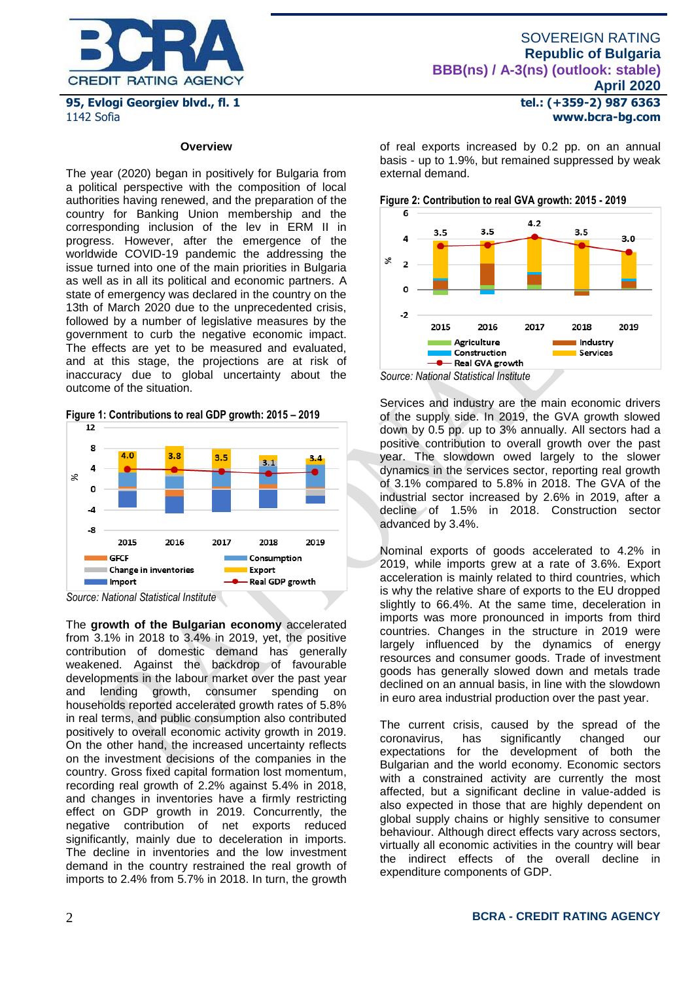

#### **Overview**

The year (2020) began in positively for Bulgaria from a political perspective with the composition of local authorities having renewed, and the preparation of the country for Banking Union membership and the corresponding inclusion of the lev in ERM II in progress. However, after the emergence of the worldwide COVID-19 pandemic the addressing the issue turned into one of the main priorities in Bulgaria as well as in all its political and economic partners. A state of emergency was declared in the country on the 13th of March 2020 due to the unprecedented crisis, followed by a number of legislative measures by the government to curb the negative economic impact. The effects are yet to be measured and evaluated, and at this stage, the projections are at risk of inaccuracy due to global uncertainty about the outcome of the situation.

**Figure 1: Contributions to real GDP growth: 2015 – 2019**



*Source: National Statistical Institute*

The **growth of the Bulgarian economy** accelerated from 3.1% in 2018 to 3.4% in 2019, yet, the positive contribution of domestic demand has generally weakened. Against the backdrop of favourable developments in the labour market over the past year and lending growth, consumer spending on households reported accelerated growth rates of 5.8% in real terms, and public consumption also contributed positively to overall economic activity growth in 2019. On the other hand, the increased uncertainty reflects on the investment decisions of the companies in the country. Gross fixed capital formation lost momentum, recording real growth of 2.2% against 5.4% in 2018, and changes in inventories have a firmly restricting effect on GDP growth in 2019. Concurrently, the negative contribution of net exports reduced significantly, mainly due to deceleration in imports. The decline in inventories and the low investment demand in the country restrained the real growth of imports to 2.4% from 5.7% in 2018. In turn, the growth

**tel.: (+359-2) 987 6363 www.bcra-bg.com** 

of real exports increased by 0.2 pp. on an annual basis - up to 1.9%, but remained suppressed by weak external demand.

**Figure 2: Contribution to real GVA growth: 2015 - 2019**



Services and industry are the main economic drivers of the supply side. In 2019, the GVA growth slowed down by 0.5 pp. up to 3% annually. All sectors had a positive contribution to overall growth over the past year. The slowdown owed largely to the slower dynamics in the services sector, reporting real growth of 3.1% compared to 5.8% in 2018. The GVA of the industrial sector increased by 2.6% in 2019, after a decline of 1.5% in 2018. Construction sector advanced by 3.4%.

Nominal exports of goods accelerated to 4.2% in 2019, while imports grew at a rate of 3.6%. Export acceleration is mainly related to third countries, which is why the relative share of exports to the EU dropped slightly to 66.4%. At the same time, deceleration in imports was more pronounced in imports from third countries. Changes in the structure in 2019 were largely influenced by the dynamics of energy resources and consumer goods. Trade of investment goods has generally slowed down and metals trade declined on an annual basis, in line with the slowdown in euro area industrial production over the past year.

The current crisis, caused by the spread of the coronavirus, has significantly changed our expectations for the development of both the Bulgarian and the world economy. Economic sectors with a constrained activity are currently the most affected, but a significant decline in value-added is also expected in those that are highly dependent on global supply chains or highly sensitive to consumer behaviour. Although direct effects vary across sectors, virtually all economic activities in the country will bear the indirect effects of the overall decline in expenditure components of GDP.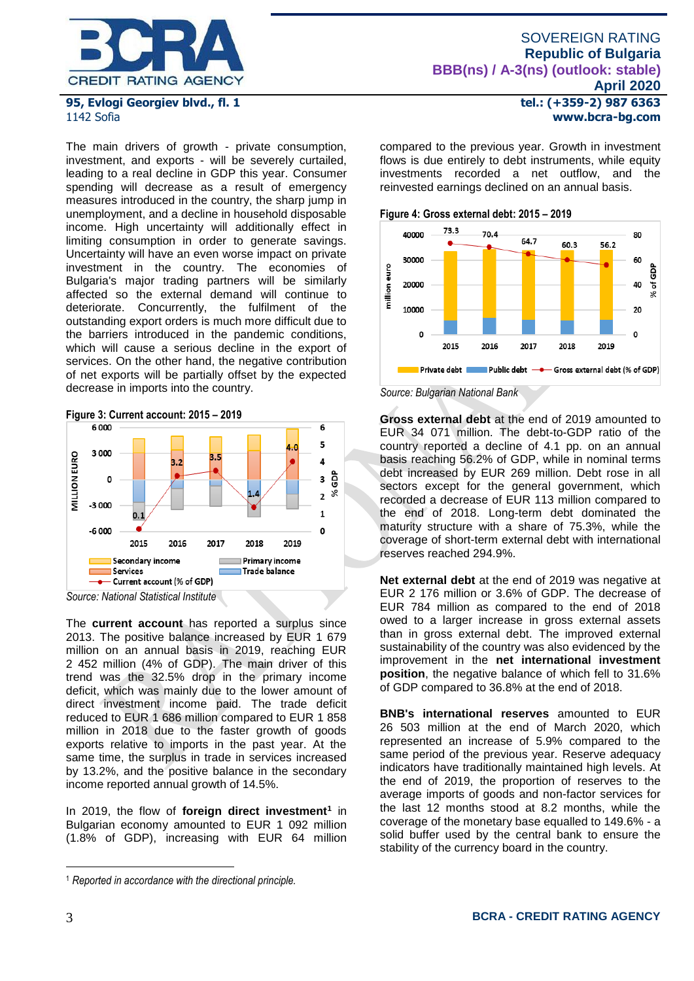

The main drivers of growth - private consumption, investment, and exports - will be severely curtailed, leading to a real decline in GDP this year. Consumer spending will decrease as a result of emergency measures introduced in the country, the sharp jump in unemployment, and a decline in household disposable income. High uncertainty will additionally effect in limiting consumption in order to generate savings. Uncertainty will have an even worse impact on private investment in the country. The economies of Bulgaria's major trading partners will be similarly affected so the external demand will continue to deteriorate. Concurrently, the fulfilment of the outstanding export orders is much more difficult due to the barriers introduced in the pandemic conditions, which will cause a serious decline in the export of services. On the other hand, the negative contribution of net exports will be partially offset by the expected decrease in imports into the country.





The **current account** has reported a surplus since 2013. The positive balance increased by EUR 1 679 million on an annual basis in 2019, reaching EUR 2 452 million (4% of GDP). The main driver of this trend was the 32.5% drop in the primary income deficit, which was mainly due to the lower amount of direct investment income paid. The trade deficit reduced to EUR 1 686 million compared to EUR 1 858 million in 2018 due to the faster growth of goods exports relative to imports in the past year. At the same time, the surplus in trade in services increased by 13.2%, and the positive balance in the secondary income reported annual growth of 14.5%.

In 2019, the flow of **foreign direct investment<sup>1</sup>** in Bulgarian economy amounted to EUR 1 092 million (1.8% of GDP), increasing with EUR 64 million

**tel.: (+359-2) 987 6363 www.bcra-bg.com** 

compared to the previous year. Growth in investment flows is due entirely to debt instruments, while equity investments recorded a net outflow, and the reinvested earnings declined on an annual basis.





*Source: Bulgarian National Bank*

**Gross external debt** at the end of 2019 amounted to EUR 34 071 million. The debt-to-GDP ratio of the country reported a decline of 4.1 pp. on an annual basis reaching 56.2% of GDP, while in nominal terms debt increased by EUR 269 million. Debt rose in all sectors except for the general government, which recorded a decrease of EUR 113 million compared to the end of 2018. Long-term debt dominated the maturity structure with a share of 75.3%, while the coverage of short-term external debt with international reserves reached 294.9%.

**Net external debt** at the end of 2019 was negative at EUR 2 176 million or 3.6% of GDP. The decrease of EUR 784 million as compared to the end of 2018 owed to a larger increase in gross external assets than in gross external debt. The improved external sustainability of the country was also evidenced by the improvement in the **net international investment position**, the negative balance of which fell to 31.6% of GDP compared to 36.8% at the end of 2018.

**BNB's international reserves** amounted to EUR 26 503 million at the end of March 2020, which represented an increase of 5.9% compared to the same period of the previous year. Reserve adequacy indicators have traditionally maintained high levels. At the end of 2019, the proportion of reserves to the average imports of goods and non-factor services for the last 12 months stood at 8.2 months, while the coverage of the monetary base equalled to 149.6% - a solid buffer used by the central bank to ensure the stability of the currency board in the country.

1

<sup>1</sup> *Reported in accordance with the directional principle.*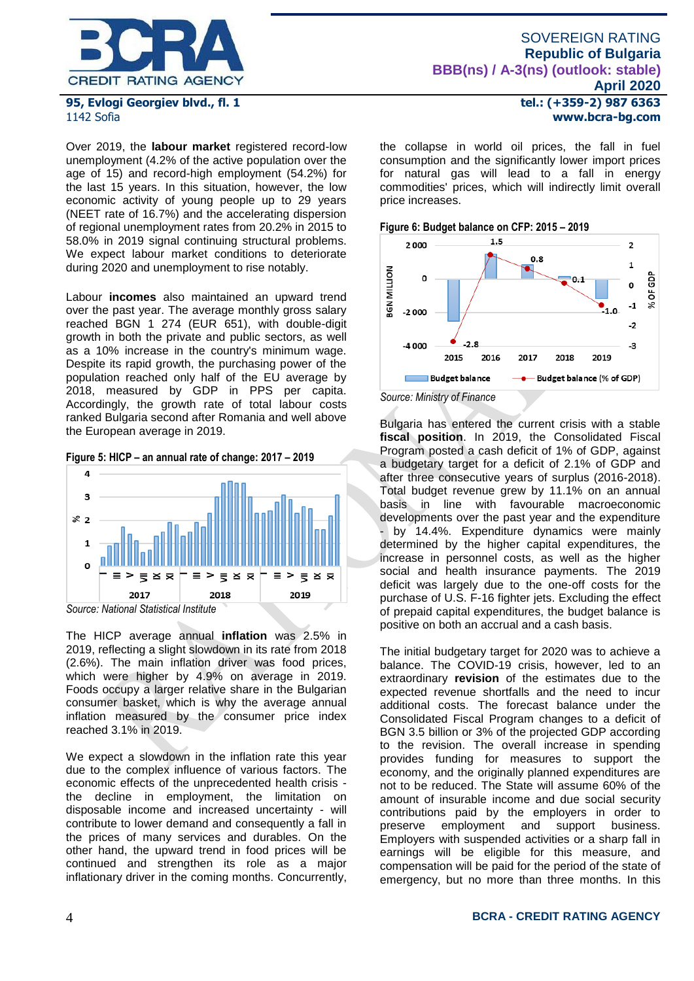

Over 2019, the **labour market** registered record-low unemployment (4.2% of the active population over the age of 15) and record-high employment (54.2%) for the last 15 years. In this situation, however, the low economic activity of young people up to 29 years (NEET rate of 16.7%) and the accelerating dispersion of regional unemployment rates from 20.2% in 2015 to 58.0% in 2019 signal continuing structural problems. We expect labour market conditions to deteriorate during 2020 and unemployment to rise notably.

Labour **incomes** also maintained an upward trend over the past year. The average monthly gross salary reached BGN 1 274 (EUR 651), with double-digit growth in both the private and public sectors, as well as a 10% increase in the country's minimum wage. Despite its rapid growth, the purchasing power of the population reached only half of the EU average by 2018, measured by GDP in PPS per capita. Accordingly, the growth rate of total labour costs ranked Bulgaria second after Romania and well above the European average in 2019.

**Figure 5: HICP – an annual rate of change: 2017 – 2019**



The HICP average annual **inflation** was 2.5% in 2019, reflecting a slight slowdown in its rate from 2018 (2.6%). The main inflation driver was food prices, which were higher by 4.9% on average in 2019. Foods occupy a larger relative share in the Bulgarian consumer basket, which is why the average annual inflation measured by the consumer price index reached 3.1% in 2019.

We expect a slowdown in the inflation rate this year due to the complex influence of various factors. The economic effects of the unprecedented health crisis the decline in employment, the limitation on disposable income and increased uncertainty - will contribute to lower demand and consequently a fall in the prices of many services and durables. On the other hand, the upward trend in food prices will be continued and strengthen its role as a major inflationary driver in the coming months. Concurrently, **tel.: (+359-2) 987 6363 www.bcra-bg.com** 

the collapse in world oil prices, the fall in fuel consumption and the significantly lower import prices for natural gas will lead to a fall in energy commodities' prices, which will indirectly limit overall price increases.





Bulgaria has entered the current crisis with a stable **fiscal position**. In 2019, the Consolidated Fiscal Program posted a cash deficit of 1% of GDP, against a budgetary target for a deficit of 2.1% of GDP and after three consecutive years of surplus (2016-2018). Total budget revenue grew by 11.1% on an annual basis in line with favourable macroeconomic developments over the past year and the expenditure - by 14.4%. Expenditure dynamics were mainly determined by the higher capital expenditures, the increase in personnel costs, as well as the higher social and health insurance payments. The 2019 deficit was largely due to the one-off costs for the purchase of U.S. F-16 fighter jets. Excluding the effect of prepaid capital expenditures, the budget balance is positive on both an accrual and a cash basis.

The initial budgetary target for 2020 was to achieve a balance. The COVID-19 crisis, however, led to an extraordinary **revision** of the estimates due to the expected revenue shortfalls and the need to incur additional costs. The forecast balance under the Consolidated Fiscal Program changes to a deficit of BGN 3.5 billion or 3% of the projected GDP according to the revision. The overall increase in spending provides funding for measures to support the economy, and the originally planned expenditures are not to be reduced. The State will assume 60% of the amount of insurable income and due social security contributions paid by the employers in order to preserve employment and support business. Employers with suspended activities or a sharp fall in earnings will be eligible for this measure, and compensation will be paid for the period of the state of emergency, but no more than three months. In this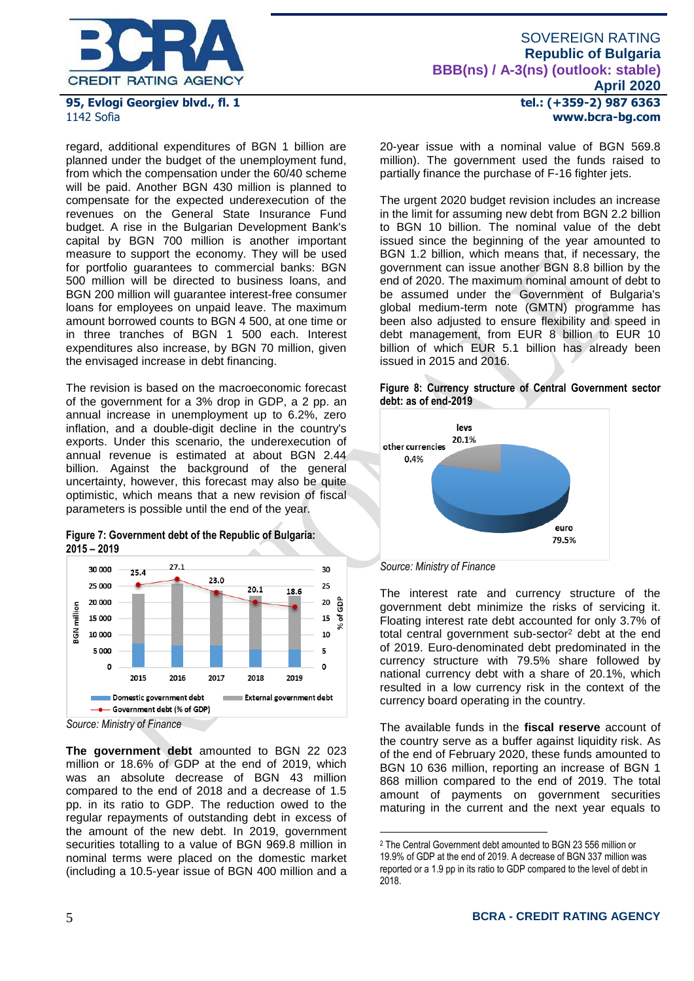

regard, additional expenditures of BGN 1 billion are planned under the budget of the unemployment fund, from which the compensation under the 60/40 scheme will be paid. Another BGN 430 million is planned to compensate for the expected underexecution of the revenues on the General State Insurance Fund budget. A rise in the Bulgarian Development Bank's capital by BGN 700 million is another important measure to support the economy. They will be used for portfolio guarantees to commercial banks: BGN 500 million will be directed to business loans, and BGN 200 million will guarantee interest-free consumer loans for employees on unpaid leave. The maximum amount borrowed counts to BGN 4 500, at one time or in three tranches of BGN 1 500 each. Interest expenditures also increase, by BGN 70 million, given the envisaged increase in debt financing.

The revision is based on the macroeconomic forecast of the government for a 3% drop in GDP, a 2 pp. an annual increase in unemployment up to 6.2%, zero inflation, and a double-digit decline in the country's exports. Under this scenario, the underexecution of annual revenue is estimated at about BGN 2.44 billion. Against the background of the general uncertainty, however, this forecast may also be quite optimistic, which means that a new revision of fiscal parameters is possible until the end of the year.





*Source: Ministry of Finance*

**The government debt** amounted to BGN 22 023 million or 18.6% of GDP at the end of 2019, which was an absolute decrease of BGN 43 million compared to the end of 2018 and a decrease of 1.5 pp. in its ratio to GDP. The reduction owed to the regular repayments of outstanding debt in excess of the amount of the new debt. In 2019, government securities totalling to a value of BGN 969.8 million in nominal terms were placed on the domestic market (including a 10.5-year issue of BGN 400 million and a **tel.: (+359-2) 987 6363 www.bcra-bg.com** 

20-year issue with a nominal value of BGN 569.8 million). The government used the funds raised to partially finance the purchase of F-16 fighter jets.

The urgent 2020 budget revision includes an increase in the limit for assuming new debt from BGN 2.2 billion to BGN 10 billion. The nominal value of the debt issued since the beginning of the year amounted to BGN 1.2 billion, which means that, if necessary, the government can issue another BGN 8.8 billion by the end of 2020. The maximum nominal amount of debt to be assumed under the Government of Bulgaria's global medium-term note (GMTN) programme has been also adjusted to ensure flexibility and speed in debt management, from EUR 8 billion to EUR 10 billion of which EUR 5.1 billion has already been issued in 2015 and 2016.





*Source: Ministry of Finance*

<u>.</u>

The interest rate and currency structure of the government debt minimize the risks of servicing it. Floating interest rate debt accounted for only 3.7% of total central government sub-sector<sup>2</sup> debt at the end of 2019. Euro-denominated debt predominated in the currency structure with 79.5% share followed by national currency debt with a share of 20.1%, which resulted in a low currency risk in the context of the currency board operating in the country.

The available funds in the **fiscal reserve** account of the country serve as a buffer against liquidity risk. As of the end of February 2020, these funds amounted to BGN 10 636 million, reporting an increase of BGN 1 868 million compared to the end of 2019. The total amount of payments on government securities maturing in the current and the next year equals to

<sup>2</sup> The Central Government debt amounted to BGN 23 556 million or 19.9% of GDP at the end of 2019. A decrease of BGN 337 million was reported or a 1.9 pp in its ratio to GDP compared to the level of debt in 2018.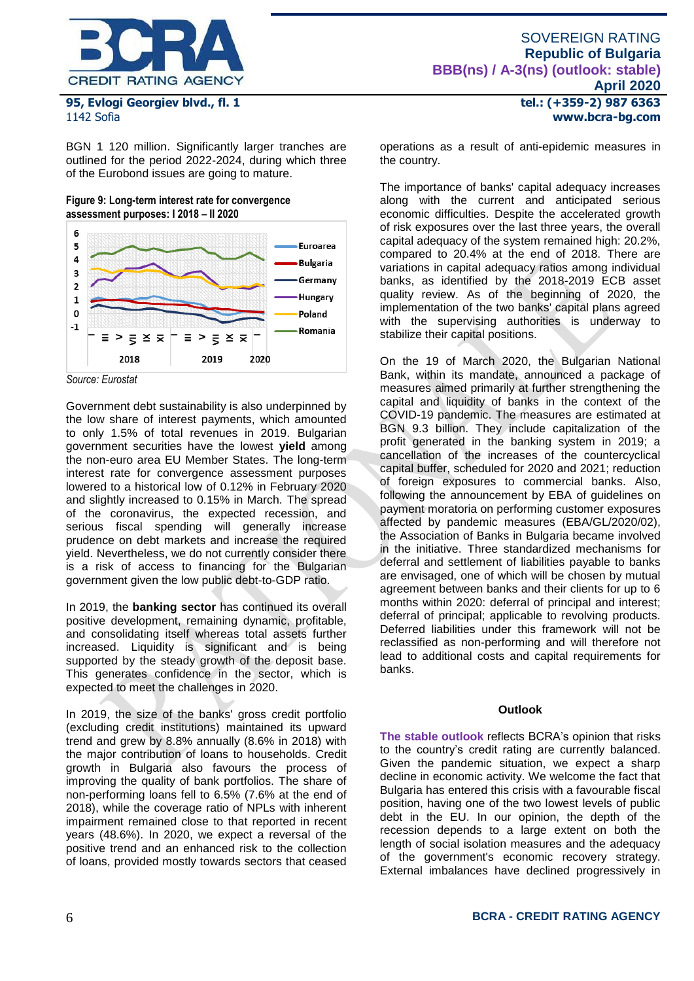

BGN 1 120 million. Significantly larger tranches are outlined for the period 2022-2024, during which three of the Eurobond issues are going to mature.

**Figure 9: Long-term interest rate for convergence assessment purposes: I 2018 – II 2020** 



*Source: Eurostat*

Government debt sustainability is also underpinned by the low share of interest payments, which amounted to only 1.5% of total revenues in 2019. Bulgarian government securities have the lowest **yield** among the non-euro area EU Member States. The long-term interest rate for convergence assessment purposes lowered to a historical low of 0.12% in February 2020 and slightly increased to 0.15% in March. The spread of the coronavirus, the expected recession, and serious fiscal spending will generally increase prudence on debt markets and increase the required yield. Nevertheless, we do not currently consider there is a risk of access to financing for the Bulgarian government given the low public debt-to-GDP ratio.

In 2019, the **banking sector** has continued its overall positive development, remaining dynamic, profitable, and consolidating itself whereas total assets further increased. Liquidity is significant and is being supported by the steady growth of the deposit base. This generates confidence in the sector, which is expected to meet the challenges in 2020.

In 2019, the size of the banks' gross credit portfolio (excluding credit institutions) maintained its upward trend and grew by 8.8% annually (8.6% in 2018) with the major contribution of loans to households. Credit growth in Bulgaria also favours the process of improving the quality of bank portfolios. The share of non-performing loans fell to 6.5% (7.6% at the end of 2018), while the coverage ratio of NPLs with inherent impairment remained close to that reported in recent years (48.6%). In 2020, we expect a reversal of the positive trend and an enhanced risk to the collection of loans, provided mostly towards sectors that ceased **tel.: (+359-2) 987 6363 www.bcra-bg.com** 

operations as a result of anti-epidemic measures in the country.

The importance of banks' capital adequacy increases along with the current and anticipated serious economic difficulties. Despite the accelerated growth of risk exposures over the last three years, the overall capital adequacy of the system remained high: 20.2%, compared to 20.4% at the end of 2018. There are variations in capital adequacy ratios among individual banks, as identified by the 2018-2019 ECB asset quality review. As of the beginning of 2020, the implementation of the two banks' capital plans agreed with the supervising authorities is underway to stabilize their capital positions.

On the 19 of March 2020, the Bulgarian National Bank, within its mandate, announced a package of measures aimed primarily at further strengthening the capital and liquidity of banks in the context of the COVID-19 pandemic. The measures are estimated at BGN 9.3 billion. They include capitalization of the profit generated in the banking system in 2019; a cancellation of the increases of the countercyclical capital buffer, scheduled for 2020 and 2021; reduction of foreign exposures to commercial banks. Also, following the announcement by EBA of guidelines on payment moratoria on performing customer exposures affected by pandemic measures (EBA/GL/2020/02), the Association of Banks in Bulgaria became involved in the initiative. Three standardized mechanisms for deferral and settlement of liabilities payable to banks are envisaged, one of which will be chosen by mutual agreement between banks and their clients for up to 6 months within 2020: deferral of principal and interest; deferral of principal; applicable to revolving products. Deferred liabilities under this framework will not be reclassified as non-performing and will therefore not lead to additional costs and capital requirements for banks.

### **Outlook**

**The stable outlook** reflects BCRA's opinion that risks to the country's credit rating are currently balanced. Given the pandemic situation, we expect a sharp decline in economic activity. We welcome the fact that Bulgaria has entered this crisis with a favourable fiscal position, having one of the two lowest levels of public debt in the EU. In our opinion, the depth of the recession depends to a large extent on both the length of social isolation measures and the adequacy of the government's economic recovery strategy. External imbalances have declined progressively in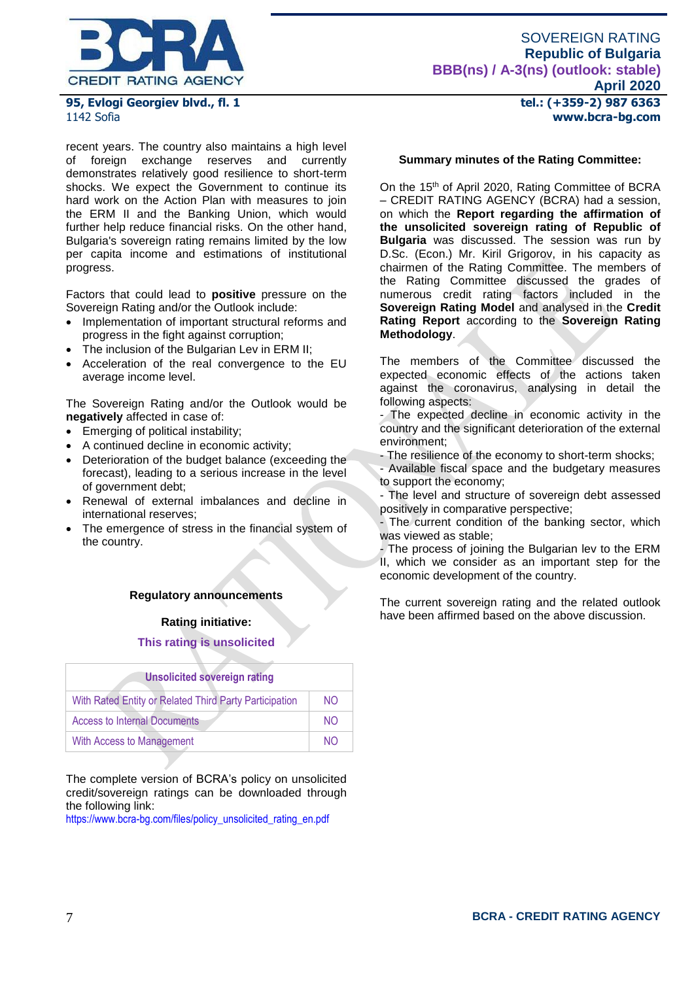

recent years. The country also maintains a high level<br>of foreign exchange reserves and currently of foreign exchange reserves and currently demonstrates relatively good resilience to short-term shocks. We expect the Government to continue its hard work on the Action Plan with measures to join the ERM II and the Banking Union, which would further help reduce financial risks. On the other hand, Bulgaria's sovereign rating remains limited by the low per capita income and estimations of institutional progress.

Factors that could lead to **positive** pressure on the Sovereign Rating and/or the Outlook include:

- Implementation of important structural reforms and progress in the fight against corruption;
- The inclusion of the Bulgarian Lev in ERM II;
- Acceleration of the real convergence to the EU average income level.

The Sovereign Rating and/or the Outlook would be **negatively** affected in case of:

- Emerging of political instability;
- A continued decline in economic activity;
- Deterioration of the budget balance (exceeding the forecast), leading to a serious increase in the level of government debt;
- Renewal of external imbalances and decline in international reserves;
- The emergence of stress in the financial system of the country.

# **Regulatory announcements**

### **Rating initiative:**

### **This rating is unsolicited**

| <b>Unsolicited sovereign rating</b>                    |                |  |  |  |  |
|--------------------------------------------------------|----------------|--|--|--|--|
| With Rated Entity or Related Third Party Participation | N <sub>O</sub> |  |  |  |  |
| <b>Access to Internal Documents</b>                    | NO.            |  |  |  |  |
| With Access to Management                              | NΩ             |  |  |  |  |

The complete version of BCRA's policy on unsolicited credit/sovereign ratings can be downloaded through the following link:

[https://www.bcra-bg.com/files/policy\\_unsolicited\\_rating\\_en.pdf](https://www.bcra-bg.com/files/policy_unsolicited_rating_en.pdf)

**tel.: (+359-2) 987 6363 www.bcra-bg.com** 

### **Summary minutes of the Rating Committee:**

On the 15th of April 2020, Rating Committee of BCRA – CREDIT RATING AGENCY (BCRA) had a session, on which the **Report regarding the affirmation of the unsolicited sovereign rating of Republic of Bulgaria** was discussed. The session was run by D.Sc. (Econ.) Mr. Kiril Grigorov, in his capacity as chairmen of the Rating Committee. The members of the Rating Committee discussed the grades of numerous credit rating factors included in the **Sovereign Rating Model** and analysed in the **Credit Rating Report** according to the **Sovereign Rating Methodology**.

The members of the Committee discussed the expected economic effects of the actions taken against the coronavirus, analysing in detail the following aspects:

- The expected decline in economic activity in the country and the significant deterioration of the external environment;

- The resilience of the economy to short-term shocks;

- Available fiscal space and the budgetary measures to support the economy;

- The level and structure of sovereign debt assessed positively in comparative perspective;

- The current condition of the banking sector, which was viewed as stable;

- The process of joining the Bulgarian lev to the ERM II, which we consider as an important step for the economic development of the country.

The current sovereign rating and the related outlook have been affirmed based on the above discussion.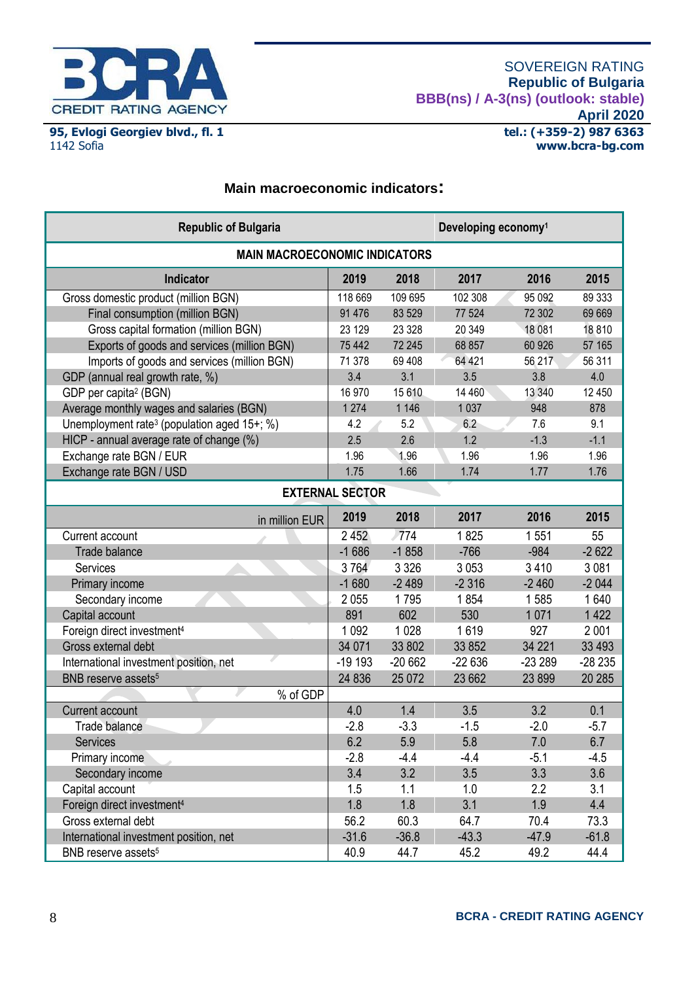

# **Main macroeconomic indicators:**

| <b>Republic of Bulgaria</b>                             |          |          | Developing economy <sup>1</sup> |          |          |  |
|---------------------------------------------------------|----------|----------|---------------------------------|----------|----------|--|
| <b>MAIN MACROECONOMIC INDICATORS</b>                    |          |          |                                 |          |          |  |
| Indicator                                               | 2019     | 2018     | 2017                            | 2016     | 2015     |  |
| Gross domestic product (million BGN)                    | 118 669  | 109 695  | 102 308                         | 95 092   | 89 333   |  |
| Final consumption (million BGN)                         | 91 476   | 83 529   | 77 524                          | 72 302   | 69 669   |  |
| Gross capital formation (million BGN)                   | 23 129   | 23 3 28  | 20 349                          | 18 081   | 18810    |  |
| Exports of goods and services (million BGN)             | 75 442   | 72 245   | 68 857                          | 60 926   | 57 165   |  |
| Imports of goods and services (million BGN)             | 71 378   | 69 40 8  | 64 421                          | 56 217   | 56 311   |  |
| GDP (annual real growth rate, %)                        | 3.4      | 3.1      | 3.5                             | 3.8      | 4.0      |  |
| GDP per capita <sup>2</sup> (BGN)                       | 16 970   | 15 610   | 14 460                          | 13 340   | 12 450   |  |
| Average monthly wages and salaries (BGN)                | 1 2 7 4  | 1 1 4 6  | 1 0 3 7                         | 948      | 878      |  |
| Unemployment rate <sup>3</sup> (population aged 15+; %) | 4.2      | 5.2      | 6.2                             | 7.6      | 9.1      |  |
| HICP - annual average rate of change (%)                | 2.5      | 2.6      | 1.2                             | $-1.3$   | $-1.1$   |  |
| Exchange rate BGN / EUR                                 | 1.96     | 1.96     | 1.96                            | 1.96     | 1.96     |  |
| Exchange rate BGN / USD                                 | 1.75     | 1.66     | 1.74                            | 1.77     | 1.76     |  |
| <b>EXTERNAL SECTOR</b>                                  |          |          |                                 |          |          |  |
| in million EUR                                          | 2019     | 2018     | 2017                            | 2016     | 2015     |  |
| Current account                                         | 2452     | 774      | 1825                            | 1551     | 55       |  |
| <b>Trade balance</b>                                    | $-1686$  | $-1858$  | $-766$                          | $-984$   | $-2622$  |  |
| Services                                                | 3764     | 3 3 2 6  | 3 0 5 3                         | 3 4 1 0  | 3 0 8 1  |  |
| Primary income                                          | $-1680$  | $-2489$  | $-2316$                         | $-2460$  | $-2044$  |  |
| Secondary income                                        | 2055     | 1795     | 1854                            | 1585     | 1640     |  |
| Capital account                                         | 891      | 602      | 530                             | 1071     | 1 4 2 2  |  |
| Foreign direct investment <sup>4</sup>                  | 1 0 9 2  | 1028     | 1619                            | 927      | 2 0 0 1  |  |
| Gross external debt                                     | 34 071   | 33 802   | 33 852                          | 34 221   | 33 4 93  |  |
| International investment position, net                  | $-19193$ | $-20662$ | $-22636$                        | $-23289$ | $-28235$ |  |
| BNB reserve assets <sup>5</sup>                         | 24 836   | 25 072   | 23 662                          | 23 899   | 20 28 5  |  |
| % of GDP                                                |          |          |                                 |          |          |  |
| Current account                                         | 4.0      | 1.4      | 3.5                             | 3.2      | 0.1      |  |
| Trade balance                                           | $-2.8$   | $-3.3$   | $-1.5$                          | $-2.0$   | $-5.7$   |  |
| Services                                                | 6.2      | 5.9      | 5.8                             | 7.0      | 6.7      |  |
| Primary income                                          | $-2.8$   | $-4.4$   | $-4.4$                          | $-5.1$   | $-4.5$   |  |
| Secondary income                                        | 3.4      | 3.2      | 3.5                             | 3.3      | 3.6      |  |
| Capital account                                         | 1.5      | 1.1      | 1.0                             | 2.2      | 3.1      |  |
| Foreign direct investment <sup>4</sup>                  | 1.8      | 1.8      | 3.1                             | 1.9      | 4.4      |  |
| Gross external debt                                     | 56.2     | 60.3     | 64.7                            | 70.4     | 73.3     |  |
| International investment position, net                  | $-31.6$  | $-36.8$  | $-43.3$                         | $-47.9$  | $-61.8$  |  |
| BNB reserve assets <sup>5</sup>                         | 40.9     | 44.7     | 45.2                            | 49.2     | 44.4     |  |